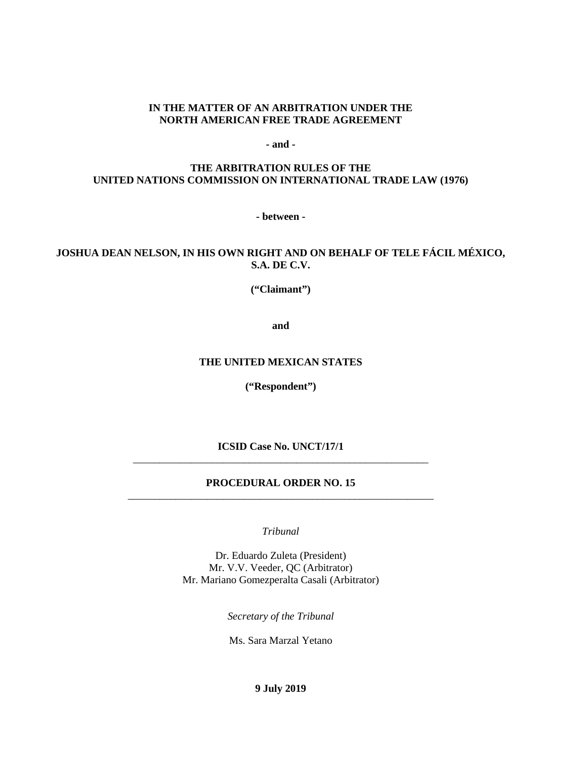#### **IN THE MATTER OF AN ARBITRATION UNDER THE NORTH AMERICAN FREE TRADE AGREEMENT**

**- and -**

### **THE ARBITRATION RULES OF THE UNITED NATIONS COMMISSION ON INTERNATIONAL TRADE LAW (1976)**

**- between -**

# **JOSHUA DEAN NELSON, IN HIS OWN RIGHT AND ON BEHALF OF TELE FÁCIL MÉXICO, S.A. DE C.V.**

**("Claimant")**

**and**

#### **THE UNITED MEXICAN STATES**

**("Respondent")**

**ICSID Case No. UNCT/17/1** \_\_\_\_\_\_\_\_\_\_\_\_\_\_\_\_\_\_\_\_\_\_\_\_\_\_\_\_\_\_\_\_\_\_\_\_\_\_\_\_\_\_\_\_\_\_\_\_\_\_\_\_\_\_\_\_

### **PROCEDURAL ORDER NO. 15** \_\_\_\_\_\_\_\_\_\_\_\_\_\_\_\_\_\_\_\_\_\_\_\_\_\_\_\_\_\_\_\_\_\_\_\_\_\_\_\_\_\_\_\_\_\_\_\_\_\_\_\_\_\_\_\_\_\_

*Tribunal*

Dr. Eduardo Zuleta (President) Mr. V.V. Veeder, QC (Arbitrator) Mr. Mariano Gomezperalta Casali (Arbitrator)

*Secretary of the Tribunal*

Ms. Sara Marzal Yetano

**9 July 2019**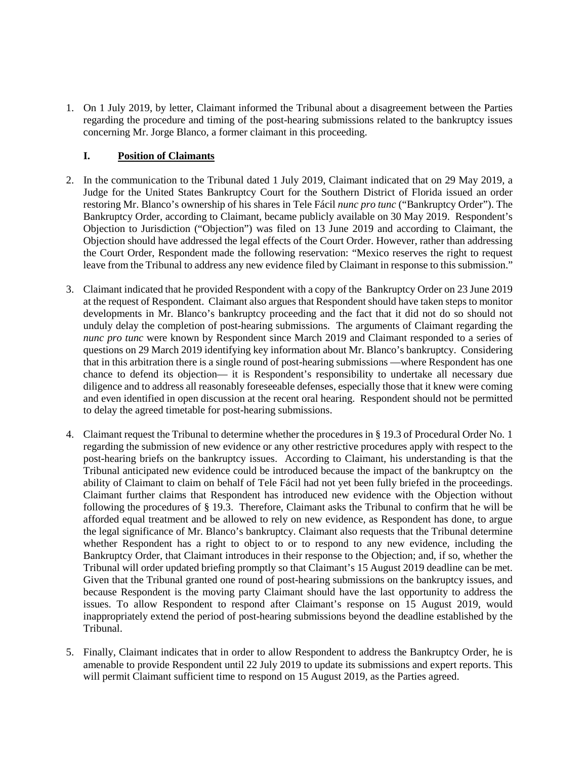1. On 1 July 2019, by letter, Claimant informed the Tribunal about a disagreement between the Parties regarding the procedure and timing of the post-hearing submissions related to the bankruptcy issues concerning Mr. Jorge Blanco, a former claimant in this proceeding.

## **I. Position of Claimants**

- 2. In the communication to the Tribunal dated 1 July 2019, Claimant indicated that on 29 May 2019, a Judge for the United States Bankruptcy Court for the Southern District of Florida issued an order restoring Mr. Blanco's ownership of his shares in Tele Fácil *nunc pro tunc* ("Bankruptcy Order"). The Bankruptcy Order, according to Claimant, became publicly available on 30 May 2019. Respondent's Objection to Jurisdiction ("Objection") was filed on 13 June 2019 and according to Claimant, the Objection should have addressed the legal effects of the Court Order. However, rather than addressing the Court Order, Respondent made the following reservation: "Mexico reserves the right to request leave from the Tribunal to address any new evidence filed by Claimant in response to this submission."
- 3. Claimant indicated that he provided Respondent with a copy of the Bankruptcy Order on 23 June 2019 at the request of Respondent. Claimant also argues that Respondent should have taken steps to monitor developments in Mr. Blanco's bankruptcy proceeding and the fact that it did not do so should not unduly delay the completion of post-hearing submissions. The arguments of Claimant regarding the *nunc pro tunc* were known by Respondent since March 2019 and Claimant responded to a series of questions on 29 March 2019 identifying key information about Mr. Blanco's bankruptcy. Considering that in this arbitration there is a single round of post-hearing submissions —where Respondent has one chance to defend its objection— it is Respondent's responsibility to undertake all necessary due diligence and to address all reasonably foreseeable defenses, especially those that it knew were coming and even identified in open discussion at the recent oral hearing. Respondent should not be permitted to delay the agreed timetable for post-hearing submissions.
- 4. Claimant request the Tribunal to determine whether the procedures in § 19.3 of Procedural Order No. 1 regarding the submission of new evidence or any other restrictive procedures apply with respect to the post-hearing briefs on the bankruptcy issues. According to Claimant, his understanding is that the Tribunal anticipated new evidence could be introduced because the impact of the bankruptcy on the ability of Claimant to claim on behalf of Tele Fácil had not yet been fully briefed in the proceedings. Claimant further claims that Respondent has introduced new evidence with the Objection without following the procedures of § 19.3. Therefore, Claimant asks the Tribunal to confirm that he will be afforded equal treatment and be allowed to rely on new evidence, as Respondent has done, to argue the legal significance of Mr. Blanco's bankruptcy. Claimant also requests that the Tribunal determine whether Respondent has a right to object to or to respond to any new evidence, including the Bankruptcy Order, that Claimant introduces in their response to the Objection; and, if so, whether the Tribunal will order updated briefing promptly so that Claimant's 15 August 2019 deadline can be met. Given that the Tribunal granted one round of post-hearing submissions on the bankruptcy issues, and because Respondent is the moving party Claimant should have the last opportunity to address the issues. To allow Respondent to respond after Claimant's response on 15 August 2019, would inappropriately extend the period of post-hearing submissions beyond the deadline established by the Tribunal.
- 5. Finally, Claimant indicates that in order to allow Respondent to address the Bankruptcy Order, he is amenable to provide Respondent until 22 July 2019 to update its submissions and expert reports. This will permit Claimant sufficient time to respond on 15 August 2019, as the Parties agreed.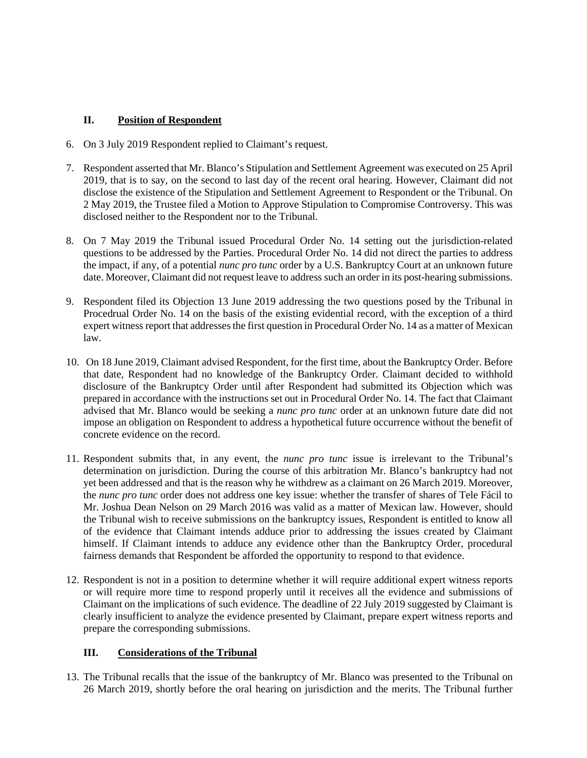## **II. Position of Respondent**

- 6. On 3 July 2019 Respondent replied to Claimant's request.
- 7. Respondent asserted that Mr. Blanco's Stipulation and Settlement Agreement was executed on 25 April 2019, that is to say, on the second to last day of the recent oral hearing. However, Claimant did not disclose the existence of the Stipulation and Settlement Agreement to Respondent or the Tribunal. On 2 May 2019, the Trustee filed a Motion to Approve Stipulation to Compromise Controversy. This was disclosed neither to the Respondent nor to the Tribunal.
- 8. On 7 May 2019 the Tribunal issued Procedural Order No. 14 setting out the jurisdiction-related questions to be addressed by the Parties. Procedural Order No. 14 did not direct the parties to address the impact, if any, of a potential *nunc pro tunc* order by a U.S. Bankruptcy Court at an unknown future date. Moreover, Claimant did not request leave to address such an order in its post-hearing submissions.
- 9. Respondent filed its Objection 13 June 2019 addressing the two questions posed by the Tribunal in Procedrual Order No. 14 on the basis of the existing evidential record, with the exception of a third expert witness report that addresses the first question in Procedural Order No. 14 as a matter of Mexican law.
- 10. On 18 June 2019, Claimant advised Respondent, for the first time, about the Bankruptcy Order. Before that date, Respondent had no knowledge of the Bankruptcy Order. Claimant decided to withhold disclosure of the Bankruptcy Order until after Respondent had submitted its Objection which was prepared in accordance with the instructions set out in Procedural Order No. 14. The fact that Claimant advised that Mr. Blanco would be seeking a *nunc pro tunc* order at an unknown future date did not impose an obligation on Respondent to address a hypothetical future occurrence without the benefit of concrete evidence on the record.
- 11. Respondent submits that, in any event, the *nunc pro tunc* issue is irrelevant to the Tribunal's determination on jurisdiction. During the course of this arbitration Mr. Blanco's bankruptcy had not yet been addressed and that is the reason why he withdrew as a claimant on 26 March 2019. Moreover, the *nunc pro tunc* order does not address one key issue: whether the transfer of shares of Tele Fácil to Mr. Joshua Dean Nelson on 29 March 2016 was valid as a matter of Mexican law. However, should the Tribunal wish to receive submissions on the bankruptcy issues, Respondent is entitled to know all of the evidence that Claimant intends adduce prior to addressing the issues created by Claimant himself. If Claimant intends to adduce any evidence other than the Bankruptcy Order, procedural fairness demands that Respondent be afforded the opportunity to respond to that evidence.
- 12. Respondent is not in a position to determine whether it will require additional expert witness reports or will require more time to respond properly until it receives all the evidence and submissions of Claimant on the implications of such evidence. The deadline of 22 July 2019 suggested by Claimant is clearly insufficient to analyze the evidence presented by Claimant, prepare expert witness reports and prepare the corresponding submissions.

# **III. Considerations of the Tribunal**

13. The Tribunal recalls that the issue of the bankruptcy of Mr. Blanco was presented to the Tribunal on 26 March 2019, shortly before the oral hearing on jurisdiction and the merits. The Tribunal further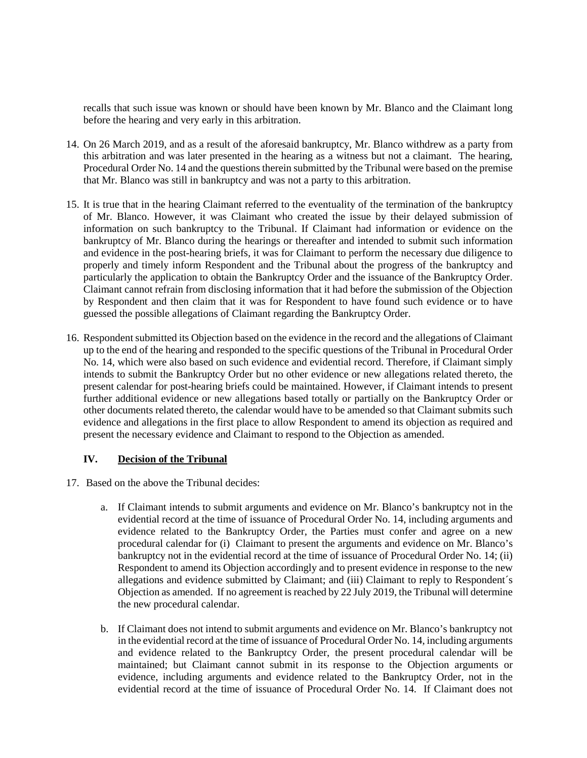recalls that such issue was known or should have been known by Mr. Blanco and the Claimant long before the hearing and very early in this arbitration.

- 14. On 26 March 2019, and as a result of the aforesaid bankruptcy, Mr. Blanco withdrew as a party from this arbitration and was later presented in the hearing as a witness but not a claimant. The hearing, Procedural Order No. 14 and the questions therein submitted by the Tribunal were based on the premise that Mr. Blanco was still in bankruptcy and was not a party to this arbitration.
- 15. It is true that in the hearing Claimant referred to the eventuality of the termination of the bankruptcy of Mr. Blanco. However, it was Claimant who created the issue by their delayed submission of information on such bankruptcy to the Tribunal. If Claimant had information or evidence on the bankruptcy of Mr. Blanco during the hearings or thereafter and intended to submit such information and evidence in the post-hearing briefs, it was for Claimant to perform the necessary due diligence to properly and timely inform Respondent and the Tribunal about the progress of the bankruptcy and particularly the application to obtain the Bankruptcy Order and the issuance of the Bankruptcy Order. Claimant cannot refrain from disclosing information that it had before the submission of the Objection by Respondent and then claim that it was for Respondent to have found such evidence or to have guessed the possible allegations of Claimant regarding the Bankruptcy Order.
- 16. Respondent submitted its Objection based on the evidence in the record and the allegations of Claimant up to the end of the hearing and responded to the specific questions of the Tribunal in Procedural Order No. 14, which were also based on such evidence and evidential record. Therefore, if Claimant simply intends to submit the Bankruptcy Order but no other evidence or new allegations related thereto, the present calendar for post-hearing briefs could be maintained. However, if Claimant intends to present further additional evidence or new allegations based totally or partially on the Bankruptcy Order or other documents related thereto, the calendar would have to be amended so that Claimant submits such evidence and allegations in the first place to allow Respondent to amend its objection as required and present the necessary evidence and Claimant to respond to the Objection as amended.

### **IV. Decision of the Tribunal**

- 17. Based on the above the Tribunal decides:
	- a. If Claimant intends to submit arguments and evidence on Mr. Blanco's bankruptcy not in the evidential record at the time of issuance of Procedural Order No. 14, including arguments and evidence related to the Bankruptcy Order, the Parties must confer and agree on a new procedural calendar for (i) Claimant to present the arguments and evidence on Mr. Blanco's bankruptcy not in the evidential record at the time of issuance of Procedural Order No. 14; (ii) Respondent to amend its Objection accordingly and to present evidence in response to the new allegations and evidence submitted by Claimant; and (iii) Claimant to reply to Respondent´s Objection as amended. If no agreement is reached by 22 July 2019, the Tribunal will determine the new procedural calendar.
	- b. If Claimant does not intend to submit arguments and evidence on Mr. Blanco's bankruptcy not in the evidential record at the time of issuance of Procedural Order No. 14, including arguments and evidence related to the Bankruptcy Order, the present procedural calendar will be maintained; but Claimant cannot submit in its response to the Objection arguments or evidence, including arguments and evidence related to the Bankruptcy Order, not in the evidential record at the time of issuance of Procedural Order No. 14. If Claimant does not